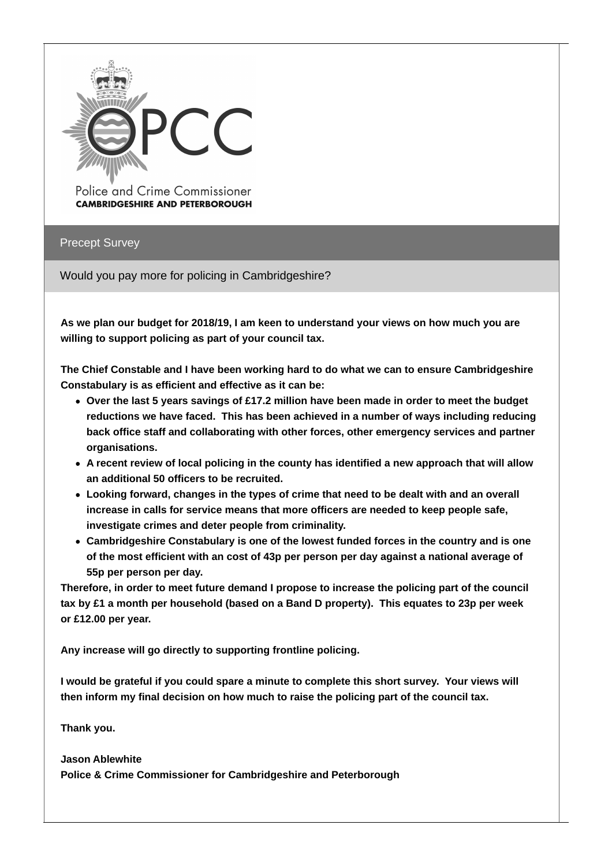

Police and Crime Commissioner **CAMBRIDGESHIRE AND PETERBOROUGH** 

Precept Survey

Would you pay more for policing in Cambridgeshire?

**As we plan our budget for 2018/19, I am keen to understand your views on how much you are willing to support policing as part of your council tax.**

**The Chief Constable and I have been working hard to do what we can to ensure Cambridgeshire Constabulary is as efficient and effective as it can be:**

- **Over the last 5 years savings of £17.2 million have been made in order to meet the budget reductions we have faced. This has been achieved in a number of ways including reducing back office staff and collaborating with other forces, other emergency services and partner organisations.**
- **A recent review of local policing in the county has identified a new approach that will allow an additional 50 officers to be recruited.**
- **Looking forward, changes in the types of crime that need to be dealt with and an overall increase in calls for service means that more officers are needed to keep people safe, investigate crimes and deter people from criminality.**
- **Cambridgeshire Constabulary is one of the lowest funded forces in the country and is one of the most efficient with an cost of 43p per person per day against a national average of 55p per person per day.**

**Therefore, in order to meet future demand I propose to increase the policing part of the council tax by £1 a month per household (based on a Band D property). This equates to 23p per week or £12.00 per year.**

**Any increase will go directly to supporting frontline policing.**

**I would be grateful if you could spare a minute to complete this short survey. Your views will then inform my final decision on how much to raise the policing part of the council tax.**

**Thank you.**

**Jason Ablewhite**

**Police & Crime Commissioner for Cambridgeshire and Peterborough**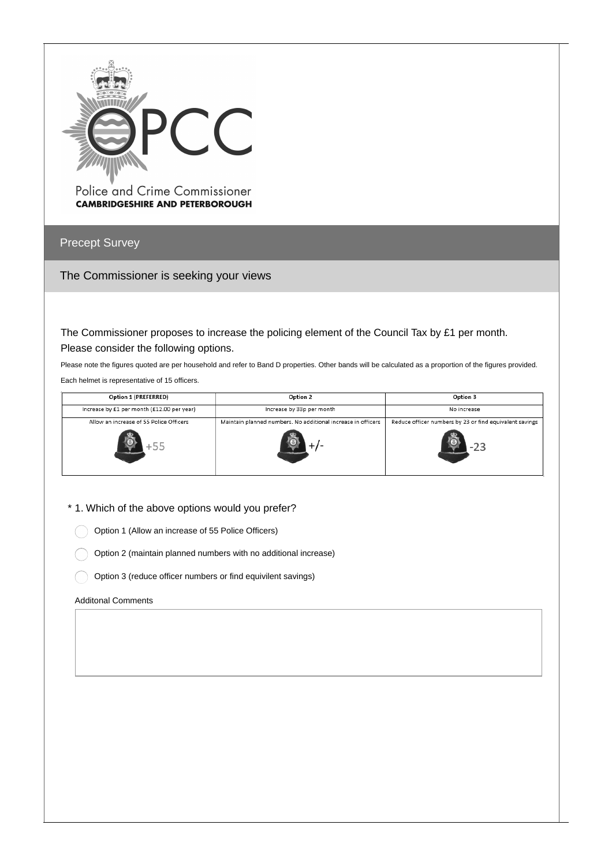

Police and Crime Commissioner **CAMBRIDGESHIRE AND PETERBOROUGH** 

Precept Survey

The Commissioner is seeking your views

The Commissioner proposes to increase the policing element of the Council Tax by £1 per month. Please consider the following options.

Please note the figures quoted are per household and refer to Band D properties. Other bands will be calculated as a proportion of the figures provided. Each helmet is representative of 15 officers.

| Option 1 (PREFERRED)                       | Option 2                                                     | Option 3                                                |  |  |
|--------------------------------------------|--------------------------------------------------------------|---------------------------------------------------------|--|--|
| Increase by £1 per month (£12.00 per year) | Increase by 33p per month                                    | No increase                                             |  |  |
| Allow an increase of 55 Police Officers    | Maintain planned numbers. No additional increase in officers | Reduce officer numbers by 23 or find equivalent savings |  |  |
|                                            |                                                              |                                                         |  |  |

\* 1. Which of the above options would you prefer?

Option 1 (Allow an increase of 55 Police Officers)

Option 2 (maintain planned numbers with no additional increase)

Option 3 (reduce officer numbers or find equivilent savings)

#### Additonal Comments

 $\left($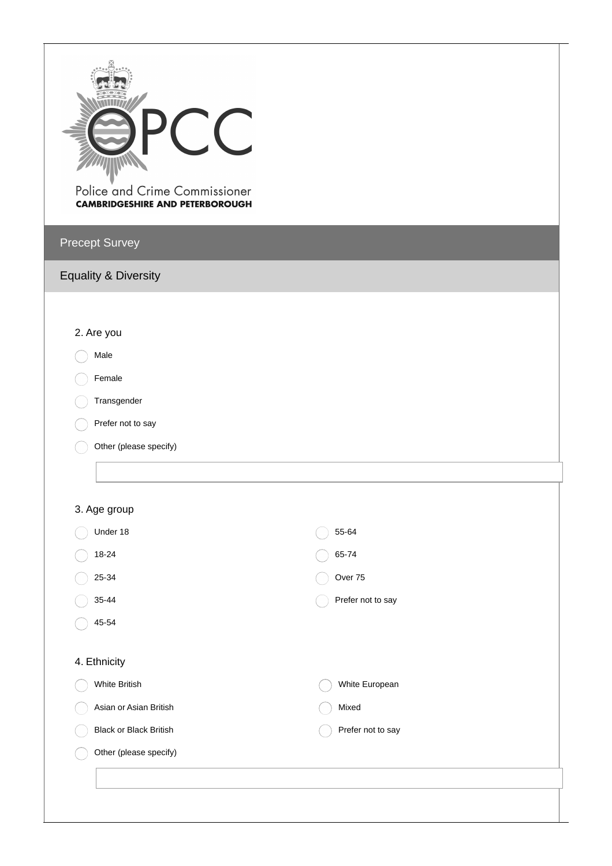

Police and Crime Commissioner **CAMBRIDGESHIRE AND PETERBOROUGH** 

# Precept Survey

### Equality & Diversity

### 2. Are you

# Male

- Female
- Transgender
- Prefer not to say  $\sqrt{2}$
- Other (please specify)

### 3. Age group

| Under 18                      | 55-64             |
|-------------------------------|-------------------|
| 18-24                         | 65-74             |
| 25-34                         | Over 75           |
| 35-44                         | Prefer not to say |
| 45-54                         |                   |
|                               |                   |
| 4. Ethnicity                  |                   |
| White British                 | White European    |
| Asian or Asian British        | Mixed             |
| <b>Black or Black British</b> | Prefer not to say |
| Other (please specify)        |                   |
|                               |                   |
|                               |                   |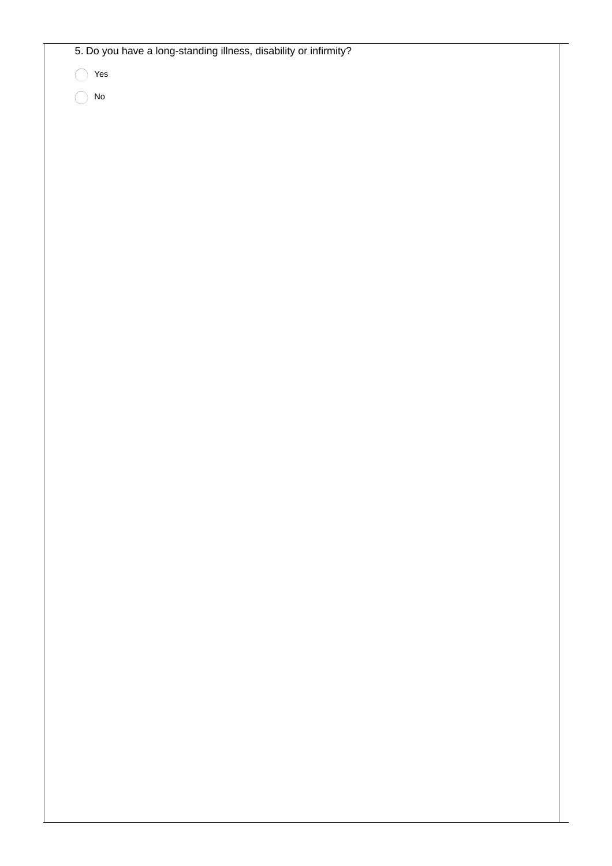5. Do you have a long-standing illness, disability or infirmity?

Yes

 $\bigcap$  No